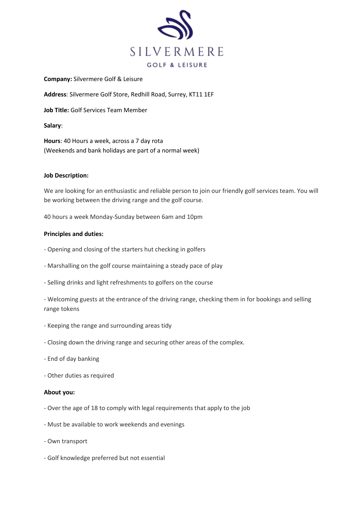

**Company:** Silvermere Golf & Leisure

**Address**: Silvermere Golf Store, Redhill Road, Surrey, KT11 1EF

**Job Title:** Golf Services Team Member

**Salary**:

**Hours**: 40 Hours a week, across a 7 day rota (Weekends and bank holidays are part of a normal week)

# **Job Description:**

We are looking for an enthusiastic and reliable person to join our friendly golf services team. You will be working between the driving range and the golf course.

40 hours a week Monday-Sunday between 6am and 10pm

# **Principles and duties:**

- Opening and closing of the starters hut checking in golfers
- Marshalling on the golf course maintaining a steady pace of play
- Selling drinks and light refreshments to golfers on the course

- Welcoming guests at the entrance of the driving range, checking them in for bookings and selling range tokens

- Keeping the range and surrounding areas tidy
- Closing down the driving range and securing other areas of the complex.
- End of day banking
- Other duties as required

### **About you:**

- Over the age of 18 to comply with legal requirements that apply to the job
- Must be available to work weekends and evenings
- Own transport
- Golf knowledge preferred but not essential